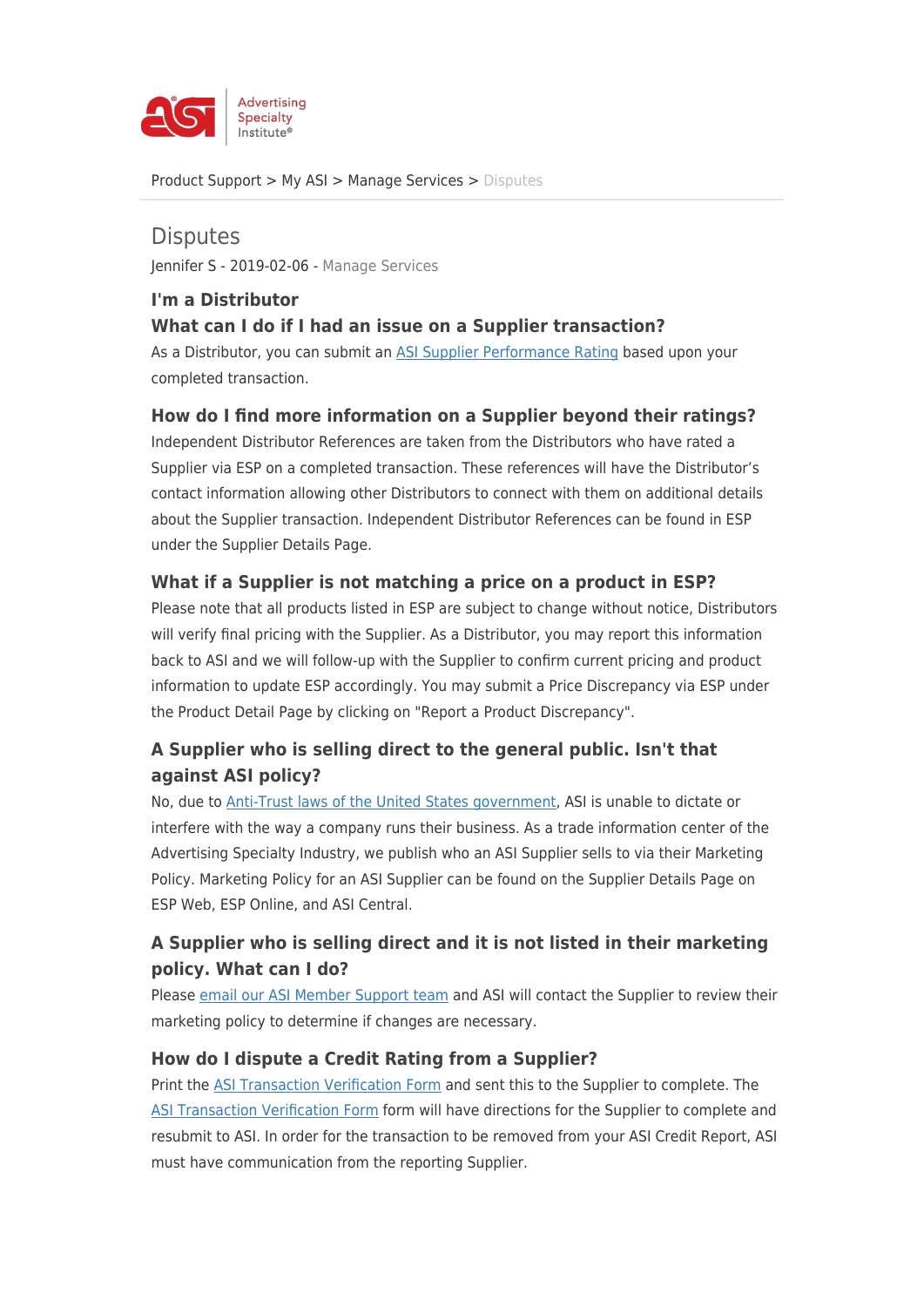

[Product Support](https://kb.asicentral.com/en/kb) > [My ASI](https://kb.asicentral.com/en/kb/my-asi) > [Manage Services](https://kb.asicentral.com/en/kb/manage-services) > [Disputes](https://kb.asicentral.com/en/kb/articles/disputes)

**Disputes** Jennifer S - 2019-02-06 - [Manage Services](https://kb.asicentral.com/en/kb/manage-services)

#### **I'm a Distributor What can I do if I had an issue on a Supplier transaction?**

As a Distributor, you can submit an [ASI Supplier Performance Rating](https://kb.asicentral.com/kb/articles/161) based upon your completed transaction.

#### **How do I find more information on a Supplier beyond their ratings?**

Independent Distributor References are taken from the Distributors who have rated a Supplier via ESP on a completed transaction. These references will have the Distributor's contact information allowing other Distributors to connect with them on additional details about the Supplier transaction. Independent Distributor References can be found in ESP under the Supplier Details Page.

### **What if a Supplier is not matching a price on a product in ESP?**

Please note that all products listed in ESP are subject to change without notice, Distributors will verify final pricing with the Supplier. As a Distributor, you may report this information back to ASI and we will follow-up with the Supplier to confirm current pricing and product information to update ESP accordingly. You may submit a Price Discrepancy via ESP under the Product Detail Page by clicking on "Report a Product Discrepancy".

# **A Supplier who is selling direct to the general public. Isn't that against ASI policy?**

No, due to [Anti-Trust laws of the United States government](http://www.antitrustlaws.org), ASI is unable to dictate or interfere with the way a company runs their business. As a trade information center of the Advertising Specialty Industry, we publish who an ASI Supplier sells to via their Marketing Policy. Marketing Policy for an ASI Supplier can be found on the Supplier Details Page on ESP Web, ESP Online, and ASI Central.

# **A Supplier who is selling direct and it is not listed in their marketing policy. What can I do?**

Please [email our ASI Member Support team](https://kb.asicentral.com/customerservice@asicentral.com) and ASI will contact the Supplier to review their marketing policy to determine if changes are necessary.

### **How do I dispute a Credit Rating from a Supplier?**

Print the [ASI Transaction Verification Form](https://www.asicentral.com/asp/open/productsandservices/dist/asi_creditconnect_transaction_verification_form.pdf) and sent this to the Supplier to complete. The [ASI Transaction Verification Form](https://www.asicentral.com/asp/open/productsandservices/dist/asi_creditconnect_transaction_verification_form.pdf) form will have directions for the Supplier to complete and resubmit to ASI. In order for the transaction to be removed from your ASI Credit Report, ASI must have communication from the reporting Supplier.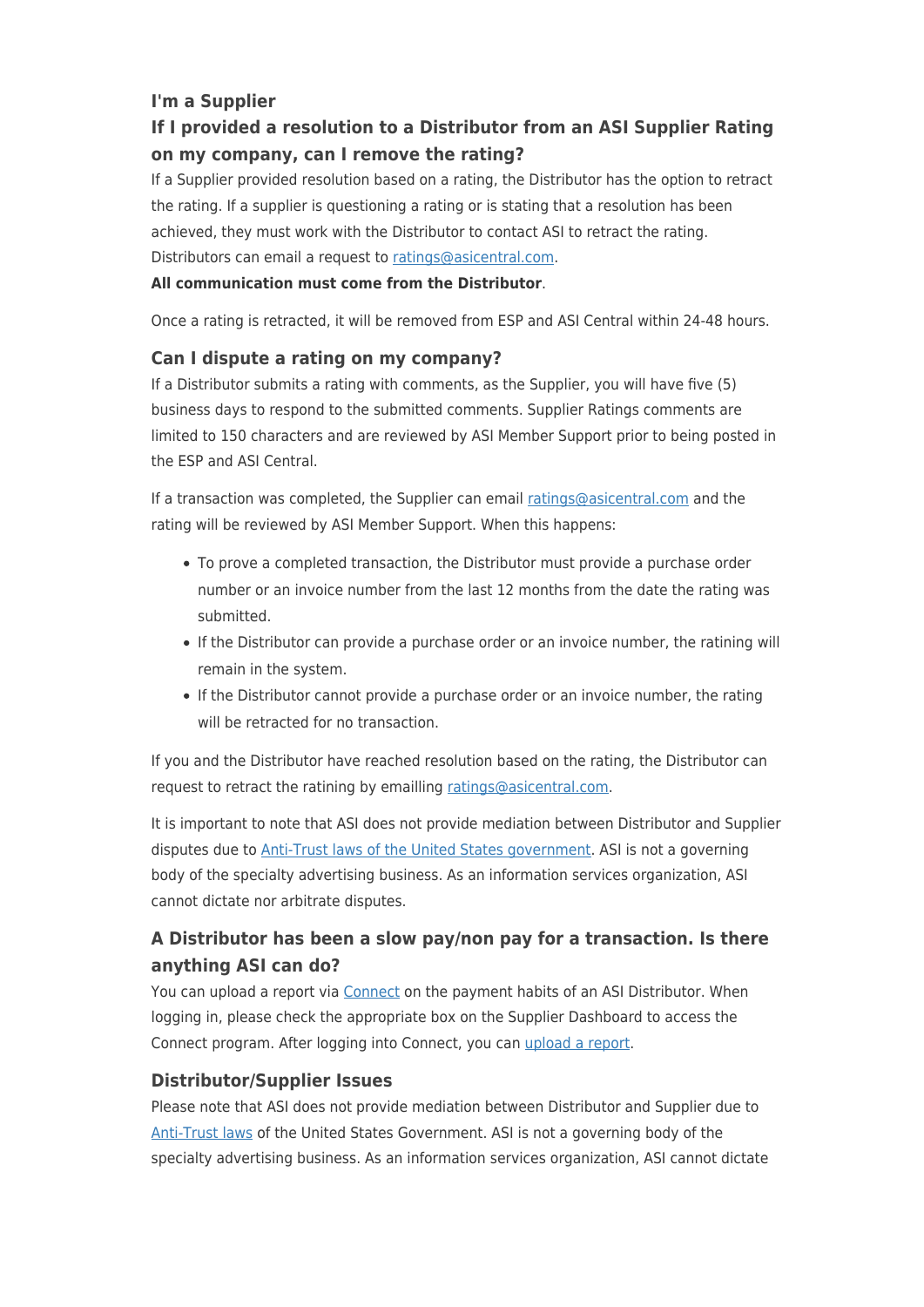### **I'm a Supplier**

# **If I provided a resolution to a Distributor from an ASI Supplier Rating on my company, can I remove the rating?**

If a Supplier provided resolution based on a rating, the Distributor has the option to retract the rating. If a supplier is questioning a rating or is stating that a resolution has been achieved, they must work with the Distributor to contact ASI to retract the rating. Distributors can email a request to [ratings@asicentral.com](mailto: ratings@asicentral.com).

#### **All communication must come from the Distributor**.

Once a rating is retracted, it will be removed from ESP and ASI Central within 24-48 hours.

#### **Can I dispute a rating on my company?**

If a Distributor submits a rating with comments, as the Supplier, you will have five (5) business days to respond to the submitted comments. Supplier Ratings comments are limited to 150 characters and are reviewed by ASI Member Support prior to being posted in the ESP and ASI Central.

If a transaction was completed, the Supplier can email [ratings@asicentral.com](mailto: ratings@asicentral.com) and the rating will be reviewed by ASI Member Support. When this happens:

- To prove a completed transaction, the Distributor must provide a purchase order number or an invoice number from the last 12 months from the date the rating was submitted.
- If the Distributor can provide a purchase order or an invoice number, the ratining will remain in the system.
- If the Distributor cannot provide a purchase order or an invoice number, the rating will be retracted for no transaction.

If you and the Distributor have reached resolution based on the rating, the Distributor can request to retract the ratining by emailling [ratings@asicentral.com](mailto: ratings@asicentral.com).

It is important to note that ASI does not provide mediation between Distributor and Supplier disputes due to [Anti-Trust laws of the United States government.](http://www.antitrustlaws.org) ASI is not a governing body of the specialty advertising business. As an information services organization, ASI cannot dictate nor arbitrate disputes.

# **A Distributor has been a slow pay/non pay for a transaction. Is there anything ASI can do?**

You can upload a report via [Connect](http://www.connect.asicentral.com) on the payment habits of an ASI Distributor. When logging in, please check the appropriate box on the Supplier Dashboard to access the Connect program. After logging into Connect, you can [upload a report](https://kb.asicentral.com/frame-embed/en/kb/articles/55).

### **Distributor/Supplier Issues**

Please note that ASI does not provide mediation between Distributor and Supplier due to [Anti-Trust laws](http://www.antitrustlaws.org) of the United States Government. ASI is not a governing body of the specialty advertising business. As an information services organization, ASI cannot dictate